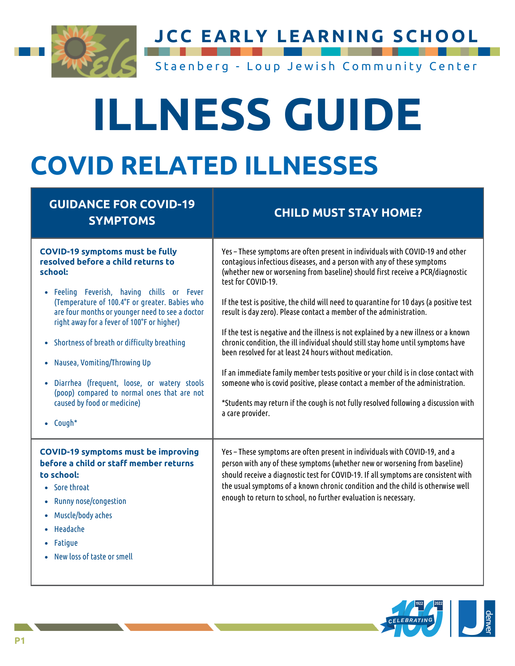

**JCC EARLY LEARNING SCHOOL**

Staenberg - Loup Jewish Community Center

# **ILLNESS GUIDE COVID RELATED ILLNESSES**

#### **GUIDANCE FOR COVID-19 SYMPTOMS CHILD MUST STAY HOME?** Feeling Feverish, having chills or Fever (Temperature of 100.4°F or greater. Babies who are four months oryounger need to see a doctor right awayfor a fever of 100°F or higher) • Shortness of breath or difficulty breathing Nausea, Vomiting/Throwing Up Diarrhea (frequent, loose, or watery stools (poop) compared to normal ones that are not caused byfood or medicine) Cough\* **COVID-19 symptoms must be fully resolved before a child returns to school:** Yes – These symptoms are often present in individuals with COVID-19 and other contagious infectious diseases, and a person with any of these symptoms (whether new or worsening from baseline) should first receive a PCR/diagnostic test for COVID-19. If the test is positive, the child will need to quarantine for 10 days (a positive test result is dayzero). Please contact a member of the administration. If the test is negative and the illness is not explained by a new illness or a known chronic condition, the ill individual should still stay home until symptoms have been resolved for at least 24 hours without medication. If an immediate family member tests positive or your child is in close contact with someone who is covid positive, please contact a member of the administration. \*Students mayreturn if the cough is not fullyresolved following a discussion with a care provider. Sore throat Runny nose/congestion Muscle/body aches • Headache • Fatioue New loss of taste or smell **COVID-19 symptoms must be improving before a child or staff member returns to school:** Yes – These symptoms are often present in individuals with COVID-19, and a person with any of these symptoms (whether new or worsening from baseline) should receive a diagnostic test for COVID-19. If all symptoms are consistent with the usual symptoms of a known chronic condition and the child is otherwise well enough to return to school, no further evaluation is necessary.

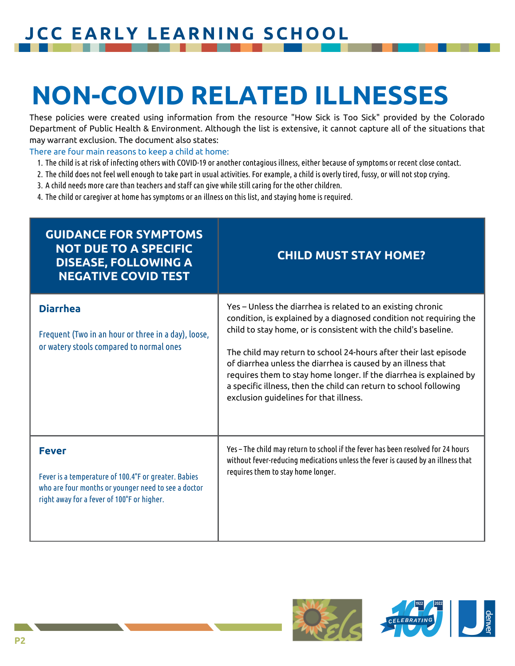#### **JCC EARLY LEARNING SCHOOL**

## **NON-COVID RELATED ILLNESSES**

These policies were created using information from the resource "How Sick is Too Sick" provided by the Colorado Department of Public Health & Environment. Although the list is extensive, it cannot capture all of the situations that may warrant exclusion. The document also states:

There are four main reasons to keep a child at home:

- 1. The child is at risk of infecting others with COVID-19 or another contagious illness, either because of symptoms or recent close contact.
- 2. The child does not feel well enough to take part in usual activities. For example, a child is overly tired, fussy, or will not stop crying.
- A child needs more care than teachers and staff can give while still caring for the other children. 3.
- The child or caregiver at home has symptoms or an illness on this list, and staying home is required. 4.

| <b>GUIDANCE FOR SYMPTOMS</b><br><b>NOT DUE TO A SPECIFIC</b><br><b>DISEASE, FOLLOWING A</b><br><b>NEGATIVE COVID TEST</b>                                                 | <b>CHILD MUST STAY HOME?</b>                                                                                                                                                                                                                                                                                                                                                                                                                                                                                                  |
|---------------------------------------------------------------------------------------------------------------------------------------------------------------------------|-------------------------------------------------------------------------------------------------------------------------------------------------------------------------------------------------------------------------------------------------------------------------------------------------------------------------------------------------------------------------------------------------------------------------------------------------------------------------------------------------------------------------------|
| <b>Diarrhea</b><br>Frequent (Two in an hour or three in a day), loose,<br>or watery stools compared to normal ones                                                        | Yes - Unless the diarrhea is related to an existing chronic<br>condition, is explained by a diagnosed condition not requiring the<br>child to stay home, or is consistent with the child's baseline.<br>The child may return to school 24-hours after their last episode<br>of diarrhea unless the diarrhea is caused by an illness that<br>requires them to stay home longer. If the diarrhea is explained by<br>a specific illness, then the child can return to school following<br>exclusion guidelines for that illness. |
| <b>Fever</b><br>Fever is a temperature of 100.4°F or greater. Babies<br>who are four months or younger need to see a doctor<br>right away for a fever of 100°F or higher. | Yes - The child may return to school if the fever has been resolved for 24 hours<br>without fever-reducing medications unless the fever is caused by an illness that<br>requires them to stay home longer.                                                                                                                                                                                                                                                                                                                    |

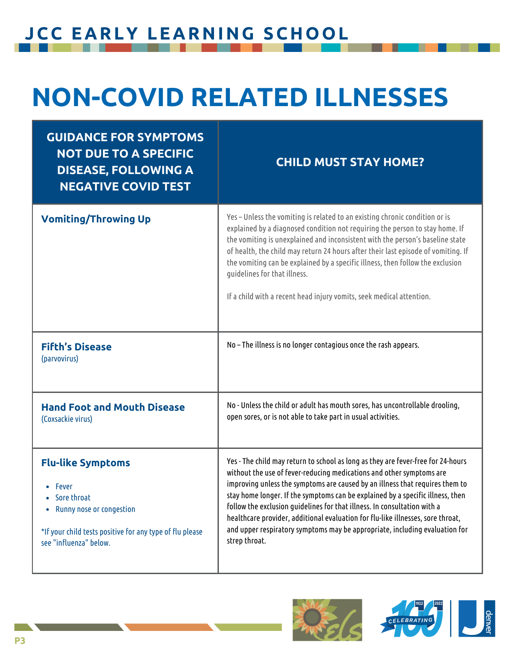#### **JCC EARLY LEARNING SCHOOL**

## **NON-COVID RELATED ILLNESSES**

| <b>GUIDANCE FOR SYMPTOMS</b><br><b>NOT DUE TO A SPECIFIC</b><br><b>DISEASE, FOLLOWING A</b><br><b>NEGATIVE COVID TEST</b>                                                        | <b>CHILD MUST STAY HOME?</b>                                                                                                                                                                                                                                                                                                                                                                                                                                                                                                                                                              |
|----------------------------------------------------------------------------------------------------------------------------------------------------------------------------------|-------------------------------------------------------------------------------------------------------------------------------------------------------------------------------------------------------------------------------------------------------------------------------------------------------------------------------------------------------------------------------------------------------------------------------------------------------------------------------------------------------------------------------------------------------------------------------------------|
| <b>Vomiting/Throwing Up</b>                                                                                                                                                      | Yes - Unless the vomiting is related to an existing chronic condition or is<br>explained by a diagnosed condition not requiring the person to stay home. If<br>the vomiting is unexplained and inconsistent with the person's baseline state<br>of health, the child may return 24 hours after their last episode of vomiting. If<br>the vomiting can be explained by a specific illness, then follow the exclusion<br>guidelines for that illness.<br>If a child with a recent head injury vomits, seek medical attention.                                                               |
| <b>Fifth's Disease</b><br>(parvovirus)                                                                                                                                           | No - The illness is no longer contagious once the rash appears.                                                                                                                                                                                                                                                                                                                                                                                                                                                                                                                           |
| <b>Hand Foot and Mouth Disease</b><br>(Coxsackie virus)                                                                                                                          | No - Unless the child or adult has mouth sores, has uncontrollable drooling,<br>open sores, or is not able to take part in usual activities.                                                                                                                                                                                                                                                                                                                                                                                                                                              |
| <b>Flu-like Symptoms</b><br><b>Fever</b><br>• Sore throat<br>Runny nose or congestion<br>٠<br>*If your child tests positive for any type of flu please<br>see "influenza" below. | Yes - The child may return to school as long as they are fever-free for 24-hours<br>without the use of fever-reducing medications and other symptoms are<br>improving unless the symptoms are caused by an illness that requires them to<br>stay home longer. If the symptoms can be explained by a specific illness, then<br>follow the exclusion quidelines for that illness. In consultation with a<br>healthcare provider, additional evaluation for flu-like illnesses, sore throat,<br>and upper respiratory symptoms may be appropriate, including evaluation for<br>strep throat. |